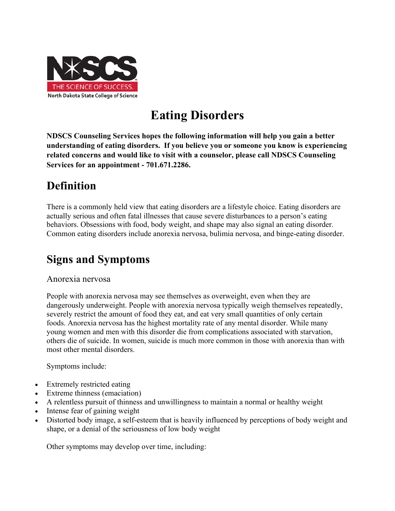

# **Eating Disorders**

**NDSCS Counseling Services hopes the following information will help you gain a better understanding of eating disorders. If you believe you or someone you know is experiencing related concerns and would like to visit with a counselor, please call NDSCS Counseling Services for an appointment - 701.671.2286.**

### **Definition**

There is a commonly held view that eating disorders are a lifestyle choice. Eating disorders are actually serious and often fatal illnesses that cause severe disturbances to a person's eating behaviors. Obsessions with food, body weight, and shape may also signal an eating disorder. Common eating disorders include anorexia nervosa, bulimia nervosa, and binge-eating disorder.

# **Signs and Symptoms**

Anorexia nervosa

People with anorexia nervosa may see themselves as overweight, even when they are dangerously underweight. People with anorexia nervosa typically weigh themselves repeatedly, severely restrict the amount of food they eat, and eat very small quantities of only certain foods. Anorexia nervosa has the highest mortality rate of any mental disorder. While many young women and men with this disorder die from complications associated with starvation, others die of suicide. In women, suicide is much more common in those with anorexia than with most other mental disorders.

Symptoms include:

- Extremely restricted eating
- Extreme thinness (emaciation)
- A relentless pursuit of thinness and unwillingness to maintain a normal or healthy weight
- Intense fear of gaining weight
- Distorted body image, a self-esteem that is heavily influenced by perceptions of body weight and shape, or a denial of the seriousness of low body weight

Other symptoms may develop over time, including: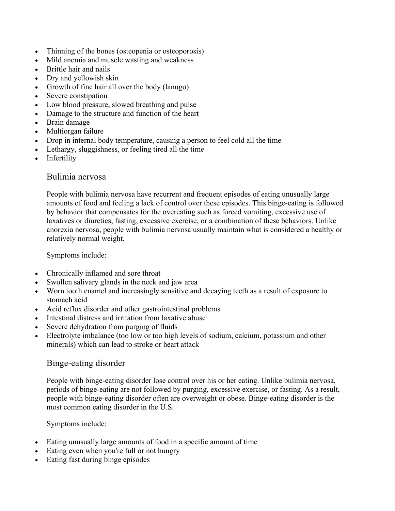- Thinning of the bones (osteopenia or osteoporosis)
- Mild anemia and muscle wasting and weakness
- Brittle hair and nails
- Dry and yellowish skin
- Growth of fine hair all over the body (lanugo)
- Severe constipation
- Low blood pressure, slowed breathing and pulse
- Damage to the structure and function of the heart
- Brain damage
- Multiorgan failure
- Drop in internal body temperature, causing a person to feel cold all the time
- Lethargy, sluggishness, or feeling tired all the time
- **Infertility**

#### Bulimia nervosa

People with bulimia nervosa have recurrent and frequent episodes of eating unusually large amounts of food and feeling a lack of control over these episodes. This binge-eating is followed by behavior that compensates for the overeating such as forced vomiting, excessive use of laxatives or diuretics, fasting, excessive exercise, or a combination of these behaviors. Unlike anorexia nervosa, people with bulimia nervosa usually maintain what is considered a healthy or relatively normal weight.

Symptoms include:

- Chronically inflamed and sore throat
- Swollen salivary glands in the neck and jaw area
- Worn tooth enamel and increasingly sensitive and decaying teeth as a result of exposure to stomach acid
- Acid reflux disorder and other gastrointestinal problems
- Intestinal distress and irritation from laxative abuse
- Severe dehydration from purging of fluids
- Electrolyte imbalance (too low or too high levels of sodium, calcium, potassium and other minerals) which can lead to stroke or heart attack

#### Binge-eating disorder

People with binge-eating disorder lose control over his or her eating. Unlike bulimia nervosa, periods of binge-eating are not followed by purging, excessive exercise, or fasting. As a result, people with binge-eating disorder often are overweight or obese. Binge-eating disorder is the most common eating disorder in the U.S.

Symptoms include:

- Eating unusually large amounts of food in a specific amount of time
- Eating even when you're full or not hungry
- Eating fast during binge episodes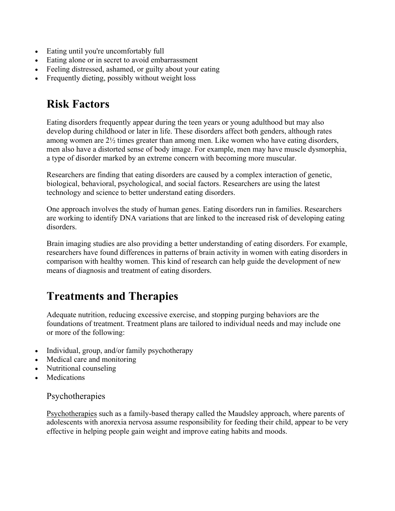- Eating until you're uncomfortably full
- Eating alone or in secret to avoid embarrassment
- Feeling distressed, ashamed, or guilty about your eating
- Frequently dieting, possibly without weight loss

### **Risk Factors**

Eating disorders frequently appear during the teen years or young adulthood but may also develop during childhood or later in life. These disorders affect both genders, although rates among women are  $2\frac{1}{2}$  times greater than among men. Like women who have eating disorders, men also have a distorted sense of body image. For example, men may have muscle dysmorphia, a type of disorder marked by an extreme concern with becoming more muscular.

Researchers are finding that eating disorders are caused by a complex interaction of genetic, biological, behavioral, psychological, and social factors. Researchers are using the latest technology and science to better understand eating disorders.

One approach involves the study of human genes. Eating disorders run in families. Researchers are working to identify DNA variations that are linked to the increased risk of developing eating disorders.

Brain imaging studies are also providing a better understanding of eating disorders. For example, researchers have found differences in patterns of brain activity in women with eating disorders in comparison with healthy women. This kind of research can help guide the development of new means of diagnosis and treatment of eating disorders.

## **Treatments and Therapies**

Adequate nutrition, reducing excessive exercise, and stopping purging behaviors are the foundations of treatment. Treatment plans are tailored to individual needs and may include one or more of the following:

- Individual, group, and/or family psychotherapy
- Medical care and monitoring
- Nutritional counseling
- **Medications**

Psychotherapies

Psychotherapies such as a family-based therapy called the Maudsley approach, where parents of adolescents with anorexia nervosa assume responsibility for feeding their child, appear to be very effective in helping people gain weight and improve eating habits and moods.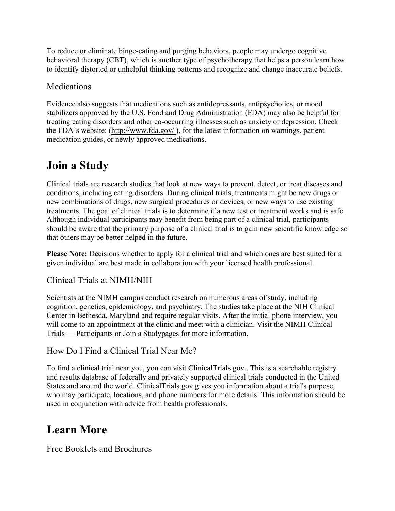To reduce or eliminate binge-eating and purging behaviors, people may undergo cognitive behavioral therapy (CBT), which is another type of psychotherapy that helps a person learn how to identify distorted or unhelpful thinking patterns and recognize and change inaccurate beliefs.

#### **Medications**

Evidence also suggests that medications such as antidepressants, antipsychotics, or mood stabilizers approved by the U.S. Food and Drug Administration (FDA) may also be helpful for treating eating disorders and other co-occurring illnesses such as anxiety or depression. Check the FDA's website: (http://www.fda.gov/), for the latest information on warnings, patient medication guides, or newly approved medications.

## **Join a Study**

Clinical trials are research studies that look at new ways to prevent, detect, or treat diseases and conditions, including eating disorders. During clinical trials, treatments might be new drugs or new combinations of drugs, new surgical procedures or devices, or new ways to use existing treatments. The goal of clinical trials is to determine if a new test or treatment works and is safe. Although individual participants may benefit from being part of a clinical trial, participants should be aware that the primary purpose of a clinical trial is to gain new scientific knowledge so that others may be better helped in the future.

**Please Note:** Decisions whether to apply for a clinical trial and which ones are best suited for a given individual are best made in collaboration with your licensed health professional.

### Clinical Trials at NIMH/NIH

Scientists at the NIMH campus conduct research on numerous areas of study, including cognition, genetics, epidemiology, and psychiatry. The studies take place at the NIH Clinical Center in Bethesda, Maryland and require regular visits. After the initial phone interview, you will come to an appointment at the clinic and meet with a clinician. Visit the NIMH Clinical Trials — Participants or Join a Studypages for more information.

### How Do I Find a Clinical Trial Near Me?

To find a clinical trial near you, you can visit ClinicalTrials.gov . This is a searchable registry and results database of federally and privately supported clinical trials conducted in the United States and around the world. ClinicalTrials.gov gives you information about a trial's purpose, who may participate, locations, and phone numbers for more details. This information should be used in conjunction with advice from health professionals.

## **Learn More**

Free Booklets and Brochures